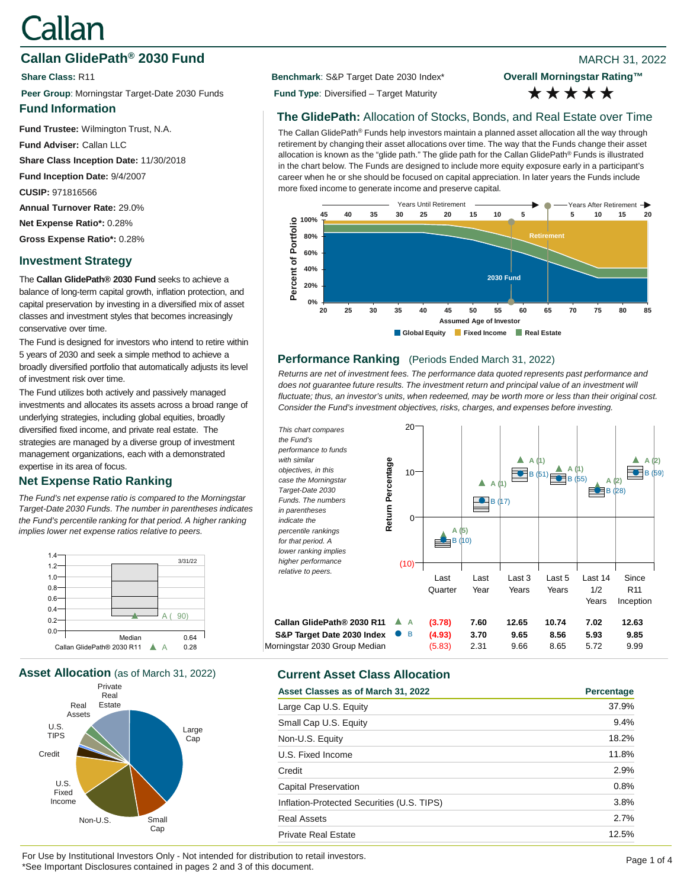# Callan

# **Callan GlidePath<sup>®</sup> 2030 Fund Blue Accord 2009 Participate 31, 2022 8**

**Peer Group**: Morningstar Target-Date 2030 Funds **Fund Type**: Diversified – Target Maturity

### **Fund Information**

**Fund Trustee:** Wilmington Trust, N.A.

**Fund Adviser:** Callan LLC

**Share Class Inception Date:** 11/30/2018

**Fund Inception Date:** 9/4/2007

**CUSIP:** 971816566

**Annual Turnover Rate:** 29.0%

**Net Expense Ratio\*:** 0.28%

**Gross Expense Ratio\*:** 0.28%

# **Investment Strategy**

The **Callan GlidePath® 2030 Fund** seeks to achieve a balance of long-term capital growth, inflation protection, and capital preservation by investing in a diversified mix of asset classes and investment styles that becomes increasingly conservative over time.

The Fund is designed for investors who intend to retire within 5 years of 2030 and seek a simple method to achieve a broadly diversified portfolio that automatically adjusts its level of investment risk over time.

The Fund utilizes both actively and passively managed investments and allocates its assets across a broad range of underlying strategies, including global equities, broadly diversified fixed income, and private real estate. The strategies are managed by a diverse group of investment management organizations, each with a demonstrated expertise in its area of focus.

# **Net Expense Ratio Ranking**

*The Fund's net expense ratio is compared to the Morningstar Target-Date 2030 Funds. The number in parentheses indicates the Fund's percentile ranking for that period. A higher ranking implies lower net expense ratios relative to peers.*



**Asset Allocation** (as of March 31, 2022) **Current Asset Class Allocation**



**Share Class:** R11 **Benchmark**: S&P Target Date 2030 Index\*

**Overall Morningstar Rating™** \*\*\*\*\*

## **The GlidePath:** Allocation of Stocks, Bonds, and Real Estate over Time

The Callan GlidePath® Funds help investors maintain a planned asset allocation all the way through retirement by changing their asset allocations over time. The way that the Funds change their asset allocation is known as the "glide path." The glide path for the Callan GlidePath® Funds is illustrated in the chart below. The Funds are designed to include more equity exposure early in a participant's career when he or she should be focused on capital appreciation. In later years the Funds include more fixed income to generate income and preserve capital.



#### **Performance Ranking** (Periods Ended March 31, 2022)

*Returns are net of investment fees. The performance data quoted represents past performance and*  does not guarantee future results. The investment return and principal value of an investment will *fluctuate; thus, an investor's units, when redeemed, may be worth more or less than their original cost. Consider the Fund's investment objectives, risks, charges, and expenses before investing.*



| Asset Classes as of March 31, 2022         | Percentage |
|--------------------------------------------|------------|
| Large Cap U.S. Equity                      | 37.9%      |
| Small Cap U.S. Equity                      | 9.4%       |
| Non-U.S. Equity                            | 18.2%      |
| U.S. Fixed Income                          | 11.8%      |
| Credit                                     | 2.9%       |
| <b>Capital Preservation</b>                | 0.8%       |
| Inflation-Protected Securities (U.S. TIPS) | 3.8%       |
| <b>Real Assets</b>                         | 2.7%       |
| <b>Private Real Estate</b>                 | 12.5%      |

For Use by Institutional Investors Only - Not intended for distribution to retail investors.<br>
Page 1 of 4 \*See Important Disclosures contained in pages 2 and 3 of this document.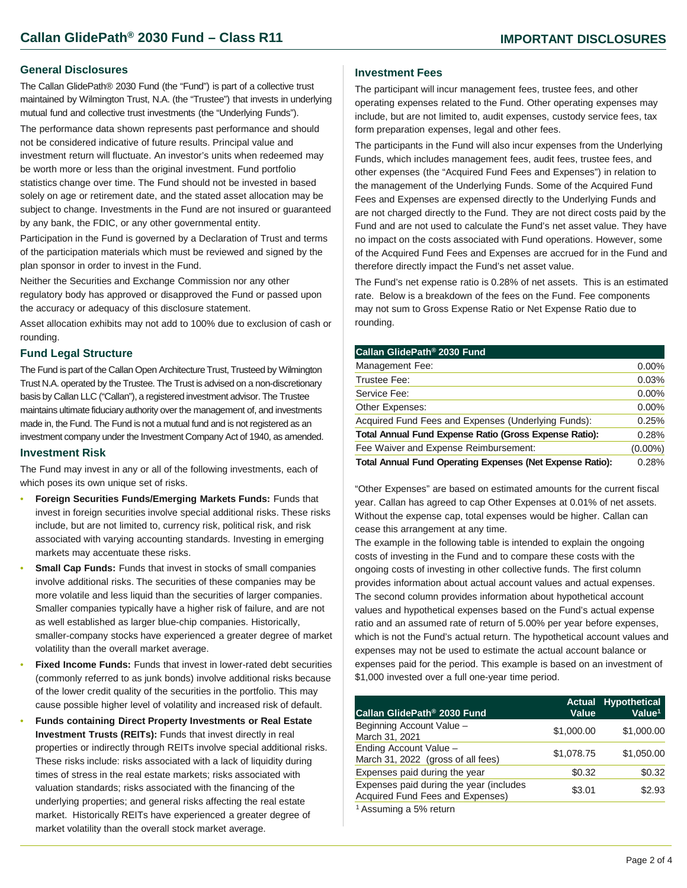#### **General Disclosures**

The Callan GlidePath® 2030 Fund (the "Fund") is part of a collective trust maintained by Wilmington Trust, N.A. (the "Trustee") that invests in underlying mutual fund and collective trust investments (the "Underlying Funds").

The performance data shown represents past performance and should not be considered indicative of future results. Principal value and investment return will fluctuate. An investor's units when redeemed may be worth more or less than the original investment. Fund portfolio statistics change over time. The Fund should not be invested in based solely on age or retirement date, and the stated asset allocation may be subject to change. Investments in the Fund are not insured or guaranteed by any bank, the FDIC, or any other governmental entity.

Participation in the Fund is governed by a Declaration of Trust and terms of the participation materials which must be reviewed and signed by the plan sponsor in order to invest in the Fund.

Neither the Securities and Exchange Commission nor any other regulatory body has approved or disapproved the Fund or passed upon the accuracy or adequacy of this disclosure statement.

Asset allocation exhibits may not add to 100% due to exclusion of cash or rounding.

#### **Fund Legal Structure**

The Fund is part of the Callan Open Architecture Trust, Trusteed by Wilmington Trust N.A. operated by the Trustee. The Trust is advised on a non-discretionary basis by Callan LLC ("Callan"), a registered investment advisor. The Trustee maintains ultimate fiduciary authority over the management of, and investments made in, the Fund. The Fund is not a mutual fund and is not registered as an investment company under the Investment Company Act of 1940, as amended.

#### **Investment Risk**

The Fund may invest in any or all of the following investments, each of which poses its own unique set of risks.

- **Foreign Securities Funds/Emerging Markets Funds:** Funds that invest in foreign securities involve special additional risks. These risks include, but are not limited to, currency risk, political risk, and risk associated with varying accounting standards. Investing in emerging markets may accentuate these risks.
- **Small Cap Funds:** Funds that invest in stocks of small companies involve additional risks. The securities of these companies may be more volatile and less liquid than the securities of larger companies. Smaller companies typically have a higher risk of failure, and are not as well established as larger blue-chip companies. Historically, smaller-company stocks have experienced a greater degree of market volatility than the overall market average.
- **Fixed Income Funds:** Funds that invest in lower-rated debt securities (commonly referred to as junk bonds) involve additional risks because of the lower credit quality of the securities in the portfolio. This may cause possible higher level of volatility and increased risk of default.
- **Funds containing Direct Property Investments or Real Estate Investment Trusts (REITs):** Funds that invest directly in real properties or indirectly through REITs involve special additional risks. These risks include: risks associated with a lack of liquidity during times of stress in the real estate markets; risks associated with valuation standards; risks associated with the financing of the underlying properties; and general risks affecting the real estate market. Historically REITs have experienced a greater degree of market volatility than the overall stock market average.

#### **Investment Fees**

The participant will incur management fees, trustee fees, and other operating expenses related to the Fund. Other operating expenses may include, but are not limited to, audit expenses, custody service fees, tax form preparation expenses, legal and other fees.

The participants in the Fund will also incur expenses from the Underlying Funds, which includes management fees, audit fees, trustee fees, and other expenses (the "Acquired Fund Fees and Expenses") in relation to the management of the Underlying Funds. Some of the Acquired Fund Fees and Expenses are expensed directly to the Underlying Funds and are not charged directly to the Fund. They are not direct costs paid by the Fund and are not used to calculate the Fund's net asset value. They have no impact on the costs associated with Fund operations. However, some of the Acquired Fund Fees and Expenses are accrued for in the Fund and therefore directly impact the Fund's net asset value.

The Fund's net expense ratio is 0.28% of net assets. This is an estimated rate. Below is a breakdown of the fees on the Fund. Fee components may not sum to Gross Expense Ratio or Net Expense Ratio due to rounding.

| Callan GlidePath <sup>®</sup> 2030 Fund                          |            |
|------------------------------------------------------------------|------------|
| Management Fee:                                                  | $0.00\%$   |
| Trustee Fee:                                                     | 0.03%      |
| Service Fee:                                                     | $0.00\%$   |
| Other Expenses:                                                  | $0.00\%$   |
| Acquired Fund Fees and Expenses (Underlying Funds):              | 0.25%      |
| Total Annual Fund Expense Ratio (Gross Expense Ratio):           | 0.28%      |
| Fee Waiver and Expense Reimbursement:                            | $(0.00\%)$ |
| <b>Total Annual Fund Operating Expenses (Net Expense Ratio):</b> | 0.28%      |

"Other Expenses" are based on estimated amounts for the current fiscal year. Callan has agreed to cap Other Expenses at 0.01% of net assets. Without the expense cap, total expenses would be higher. Callan can cease this arrangement at any time.

The example in the following table is intended to explain the ongoing costs of investing in the Fund and to compare these costs with the ongoing costs of investing in other collective funds. The first column provides information about actual account values and actual expenses. The second column provides information about hypothetical account values and hypothetical expenses based on the Fund's actual expense ratio and an assumed rate of return of 5.00% per year before expenses, which is not the Fund's actual return. The hypothetical account values and expenses may not be used to estimate the actual account balance or expenses paid for the period. This example is based on an investment of \$1,000 invested over a full one-year time period.

| Callan GlidePath <sup>®</sup> 2030 Fund                                     | <b>Actual</b><br>Value | <b>Hypothetical</b><br>Value <sup>1</sup> |
|-----------------------------------------------------------------------------|------------------------|-------------------------------------------|
| Beginning Account Value -<br>March 31, 2021                                 | \$1,000.00             | \$1,000.00                                |
| Ending Account Value -<br>March 31, 2022 (gross of all fees)                | \$1,078.75             | \$1,050.00                                |
| Expenses paid during the year                                               | \$0.32                 | \$0.32                                    |
| Expenses paid during the year (includes<br>Acquired Fund Fees and Expenses) | \$3.01                 | \$2.93                                    |
| <sup>1</sup> Assuming a 5% return                                           |                        |                                           |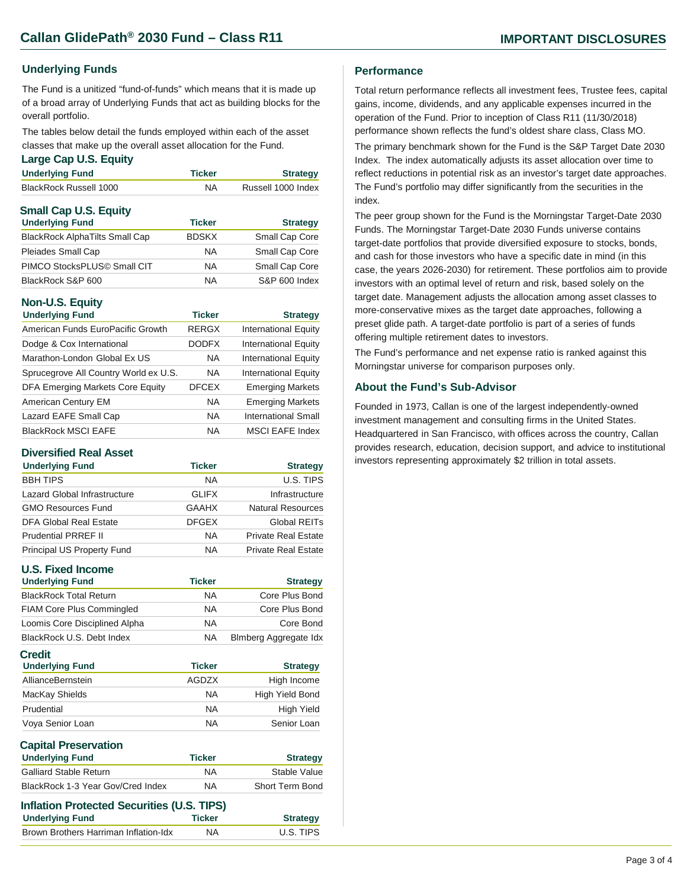#### **Underlying Funds**

The Fund is a unitized "fund-of-funds" which means that it is made up of a broad array of Underlying Funds that act as building blocks for the overall portfolio.

The tables below detail the funds employed within each of the asset classes that make up the overall asset allocation for the Fund.

#### **Large Cap U.S. Equity**

| <b>Underlying Fund</b>        | <b>Ticker</b> | <b>Strategy</b>    |
|-------------------------------|---------------|--------------------|
| <b>BlackRock Russell 1000</b> | NA.           | Russell 1000 Index |
| <b>Small Cap U.S. Equity</b>  |               |                    |
| <b>Underlying Fund</b>        | <b>Ticker</b> | <b>Strategy</b>    |

| Small Cap Core |
|----------------|
| Small Cap Core |
| Small Cap Core |
| S&P 600 Index  |
|                |

#### **Non-U.S. Equity**

| <b>Underlying Fund</b>                | <b>Ticker</b> | <b>Strategy</b>             |
|---------------------------------------|---------------|-----------------------------|
| American Funds EuroPacific Growth     | <b>RERGX</b>  | <b>International Equity</b> |
| Dodge & Cox International             | <b>DODFX</b>  | <b>International Equity</b> |
| Marathon-London Global Ex US          | <b>NA</b>     | <b>International Equity</b> |
| Sprucegrove All Country World ex U.S. | <b>NA</b>     | <b>International Equity</b> |
| DFA Emerging Markets Core Equity      | <b>DFCEX</b>  | <b>Emerging Markets</b>     |
| American Century EM                   | <b>NA</b>     | <b>Emerging Markets</b>     |
| Lazard EAFE Small Cap                 | <b>NA</b>     | <b>International Small</b>  |
| <b>BlackRock MSCI EAFE</b>            | <b>NA</b>     | <b>MSCI EAFE Index</b>      |

#### **Diversified Real Asset**

| <b>Underlying Fund</b>       | <b>Ticker</b> | <b>Strategy</b>            |
|------------------------------|---------------|----------------------------|
| <b>BBH TIPS</b>              | <b>NA</b>     | U.S. TIPS                  |
| Lazard Global Infrastructure | <b>GLIFX</b>  | Infrastructure             |
| <b>GMO Resources Fund</b>    | <b>GAAHX</b>  | Natural Resources          |
| DFA Global Real Estate       | <b>DFGEX</b>  | Global REITs               |
| <b>Prudential PRREF II</b>   | <b>NA</b>     | <b>Private Real Estate</b> |
| Principal US Property Fund   | NA.           | <b>Private Real Estate</b> |

#### **U.S. Fixed Income**

| <b>Underlying Fund</b>                  | <b>Ticker</b> | <b>Strategy</b>       |
|-----------------------------------------|---------------|-----------------------|
| <b>BlackRock Total Return</b>           | <b>NA</b>     | Core Plus Bond        |
| <b>FIAM Core Plus Commingled</b>        | <b>NA</b>     | Core Plus Bond        |
| Loomis Core Disciplined Alpha           | <b>NA</b>     | Core Bond             |
| BlackRock U.S. Debt Index               | <b>NA</b>     | Blmberg Aggregate Idx |
| <b>Credit</b><br><b>Underlying Fund</b> | <b>Ticker</b> | <b>Strategy</b>       |
| AllianceBernstein                       | <b>AGDZX</b>  | High Income           |
| MacKay Shields                          | <b>NA</b>     | High Yield Bond       |
| Prudential                              | <b>NA</b>     | <b>High Yield</b>     |

| Voya Senior Loan                                  | ΝA            | Senior Loan     |
|---------------------------------------------------|---------------|-----------------|
| <b>Capital Preservation</b>                       |               |                 |
| <b>Underlying Fund</b>                            | <b>Ticker</b> | <b>Strategy</b> |
| <b>Galliard Stable Return</b>                     | NA            | Stable Value    |
| BlackRock 1-3 Year Gov/Cred Index                 | <b>NA</b>     | Short Term Bond |
| <b>Inflation Protected Securities (U.S. TIPS)</b> |               |                 |

| <u>ININGUON I TULECLEU OECUNIUS (U.U. TII U</u> |               |                 |
|-------------------------------------------------|---------------|-----------------|
| <b>Underlying Fund</b>                          | <b>Ticker</b> | <b>Strategy</b> |
| Brown Brothers Harriman Inflation-Idx           | <b>NA</b>     | U.S. TIPS       |
|                                                 |               |                 |

#### **Performance**

Total return performance reflects all investment fees, Trustee fees, capital gains, income, dividends, and any applicable expenses incurred in the operation of the Fund. Prior to inception of Class R11 (11/30/2018) performance shown reflects the fund's oldest share class, Class MO. The primary benchmark shown for the Fund is the S&P Target Date 2030 Index. The index automatically adjusts its asset allocation over time to reflect reductions in potential risk as an investor's target date approaches. The Fund's portfolio may differ significantly from the securities in the index.

The peer group shown for the Fund is the Morningstar Target-Date 2030 Funds. The Morningstar Target-Date 2030 Funds universe contains target-date portfolios that provide diversified exposure to stocks, bonds, and cash for those investors who have a specific date in mind (in this case, the years 2026-2030) for retirement. These portfolios aim to provide investors with an optimal level of return and risk, based solely on the target date. Management adjusts the allocation among asset classes to more-conservative mixes as the target date approaches, following a preset glide path. A target-date portfolio is part of a series of funds offering multiple retirement dates to investors.

The Fund's performance and net expense ratio is ranked against this Morningstar universe for comparison purposes only.

#### **About the Fund's Sub-Advisor**

Founded in 1973, Callan is one of the largest independently-owned investment management and consulting firms in the United States. Headquartered in San Francisco, with offices across the country, Callan provides research, education, decision support, and advice to institutional investors representing approximately \$2 trillion in total assets.